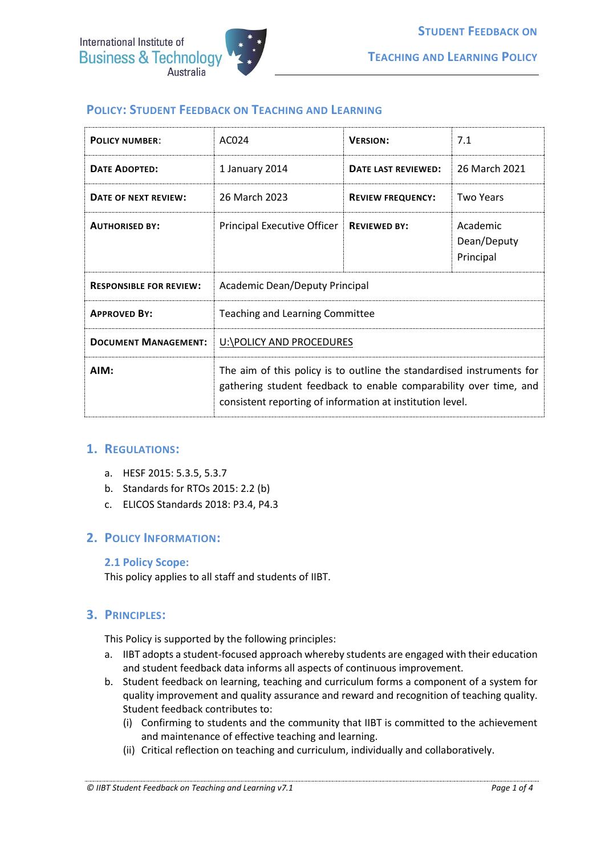

# **POLICY: STUDENT FEEDBACK ON TEACHING AND LEARNING**

| <b>POLICY NUMBER:</b>          | AC024                                                                                                                                                                                                   | <b>VERSION:</b>          | 7.1                                  |
|--------------------------------|---------------------------------------------------------------------------------------------------------------------------------------------------------------------------------------------------------|--------------------------|--------------------------------------|
| <b>DATE ADOPTED:</b>           | 1 January 2014                                                                                                                                                                                          | DATE LAST REVIEWED:      | 26 March 2021                        |
| DATE OF NEXT REVIEW:           | 26 March 2023                                                                                                                                                                                           | <b>REVIEW FREQUENCY:</b> | <b>Two Years</b>                     |
| <b>AUTHORISED BY:</b>          | Principal Executive Officer                                                                                                                                                                             | <b>REVIEWED BY:</b>      | Academic<br>Dean/Deputy<br>Principal |
| <b>RESPONSIBLE FOR REVIEW:</b> | Academic Dean/Deputy Principal                                                                                                                                                                          |                          |                                      |
| <b>APPROVED BY:</b>            | Teaching and Learning Committee                                                                                                                                                                         |                          |                                      |
| <b>DOCUMENT MANAGEMENT:</b>    | U:\POLICY AND PROCEDURES                                                                                                                                                                                |                          |                                      |
| AIM:                           | The aim of this policy is to outline the standardised instruments for<br>gathering student feedback to enable comparability over time, and<br>consistent reporting of information at institution level. |                          |                                      |

## **1. REGULATIONS:**

- a. HESF 2015: 5.3.5, 5.3.7
- b. Standards for RTOs 2015: 2.2 (b)
- c. ELICOS Standards 2018: P3.4, P4.3

## **2. POLICY INFORMATION:**

#### **2.1 Policy Scope:**

This policy applies to all staff and students of IIBT.

## **3. PRINCIPLES:**

This Policy is supported by the following principles:

- a. IIBT adopts a student-focused approach whereby students are engaged with their education and student feedback data informs all aspects of continuous improvement*.*
- b. Student feedback on learning, teaching and curriculum forms a component of a system for quality improvement and quality assurance and reward and recognition of teaching quality. Student feedback contributes to:
	- (i) Confirming to students and the community that IIBT is committed to the achievement and maintenance of effective teaching and learning.
	- (ii) Critical reflection on teaching and curriculum, individually and collaboratively.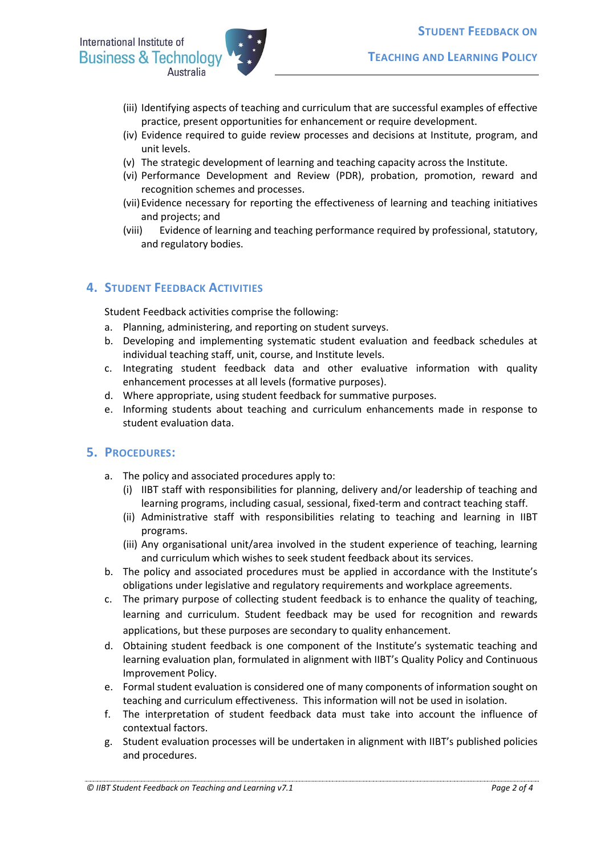

- (iii) Identifying aspects of teaching and curriculum that are successful examples of effective practice, present opportunities for enhancement or require development.
- (iv) Evidence required to guide review processes and decisions at Institute, program, and unit levels.
- (v) The strategic development of learning and teaching capacity across the Institute.
- (vi) Performance Development and Review (PDR), probation, promotion, reward and recognition schemes and processes.
- (vii)Evidence necessary for reporting the effectiveness of learning and teaching initiatives and projects; and
- (viii) Evidence of learning and teaching performance required by professional, statutory, and regulatory bodies.

# **4. STUDENT FEEDBACK ACTIVITIES**

Student Feedback activities comprise the following:

- a. Planning, administering, and reporting on student surveys.
- b. Developing and implementing systematic student evaluation and feedback schedules at individual teaching staff, unit, course, and Institute levels.
- c. Integrating student feedback data and other evaluative information with quality enhancement processes at all levels (formative purposes).
- d. Where appropriate, using student feedback for summative purposes.
- e. Informing students about teaching and curriculum enhancements made in response to student evaluation data.

## **5. PROCEDURES:**

- a. The policy and associated procedures apply to:
	- (i) IIBT staff with responsibilities for planning, delivery and/or leadership of teaching and learning programs, including casual, sessional, fixed-term and contract teaching staff.
	- (ii) Administrative staff with responsibilities relating to teaching and learning in IIBT programs.
	- (iii) Any organisational unit/area involved in the student experience of teaching, learning and curriculum which wishes to seek student feedback about its services.
- b. The policy and associated procedures must be applied in accordance with the Institute's obligations under legislative and regulatory requirements and workplace agreements.
- c. The primary purpose of collecting student feedback is to enhance the quality of teaching, learning and curriculum. Student feedback may be used for [recognition and rewards](http://www.mq.edu.au/provost/activities/awards.html) applications, but these purposes are secondary to quality enhancement.
- d. Obtaining student feedback is one component of the Institute's systematic teaching and learning evaluation plan, formulated in alignment with IIBT's Quality Policy and Continuous Improvement Policy.
- e. Formal student evaluation is considered one of many components of information sought on teaching and curriculum effectiveness. This information will not be used in isolation.
- f. The interpretation of student feedback data must take into account the influence of contextual factors.
- g. Student evaluation processes will be undertaken in alignment with IIBT's published policies and procedures.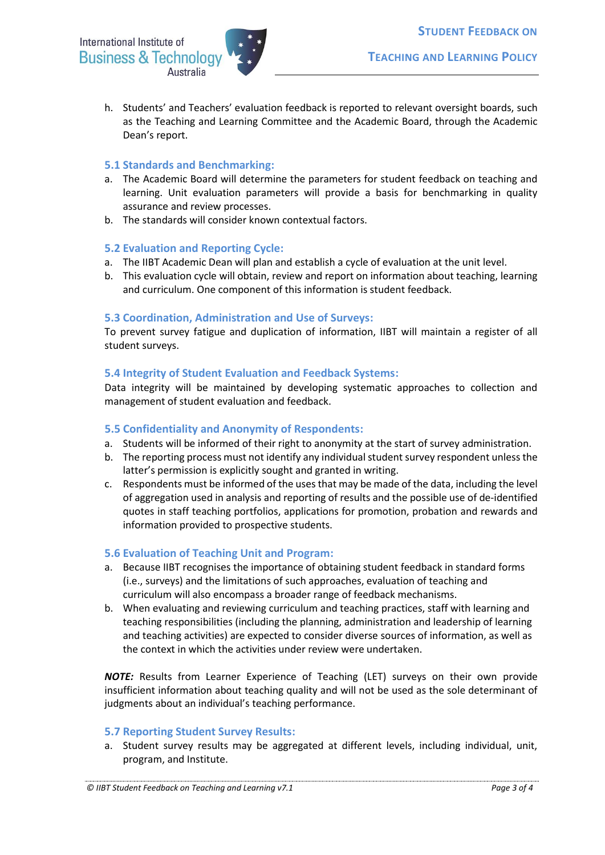International Institute of **Business & Technology** Australia



h. Students' and Teachers' evaluation feedback is reported to relevant oversight boards, such as the Teaching and Learning Committee and the Academic Board, through the Academic Dean's report.

### **5.1 Standards and Benchmarking:**

- a. The Academic Board will determine the parameters for student feedback on teaching and learning. Unit evaluation parameters will provide a basis for benchmarking in quality assurance and review processes.
- b. The standards will consider known contextual factors.

### **5.2 Evaluation and Reporting Cycle:**

- a. The IIBT Academic Dean will plan and establish a cycle of evaluation at the unit level.
- b. This evaluation cycle will obtain, review and report on information about teaching, learning and curriculum. One component of this information is student feedback.

### **5.3 Coordination, Administration and Use of Surveys:**

To prevent survey fatigue and duplication of information, IIBT will maintain a register of all student surveys.

## **5.4 Integrity of Student Evaluation and Feedback Systems:**

Data integrity will be maintained by developing systematic approaches to collection and management of student evaluation and feedback.

## **5.5 Confidentiality and Anonymity of Respondents:**

- a. Students will be informed of their right to anonymity at the start of survey administration.
- b. The reporting process must not identify any individual student survey respondent unless the latter's permission is explicitly sought and granted in writing.
- c. Respondents must be informed of the uses that may be made of the data, including the level of aggregation used in analysis and reporting of results and the possible use of de-identified quotes in staff teaching portfolios, applications for promotion, probation and rewards and information provided to prospective students.

## **5.6 Evaluation of Teaching Unit and Program:**

- a. Because IIBT recognises the importance of obtaining student feedback in standard forms (i.e., surveys) and the limitations of such approaches, evaluation of teaching and curriculum will also encompass a broader range of feedback mechanisms.
- b. When evaluating and reviewing curriculum and teaching practices, staff with learning and teaching responsibilities (including the planning, administration and leadership of learning and teaching activities) are expected to consider diverse sources of information, as well as the context in which the activities under review were undertaken.

*NOTE:* Results from Learner Experience of Teaching (LET) surveys on their own provide insufficient information about teaching quality and will not be used as the sole determinant of judgments about an individual's teaching performance.

#### **5.7 Reporting Student Survey Results:**

a. Student survey results may be aggregated at different levels, including individual, unit, program, and Institute.